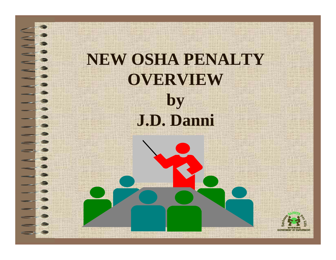## **NEW OSHA PENALTY OVERVIEW by J.D. Danni**

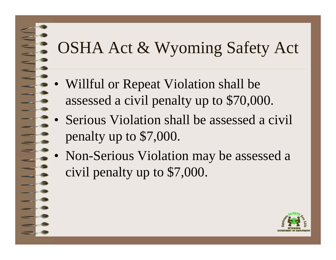### OSHA Act & Wyoming Safety Act

- • Willful or Repeat Violation shall be assessed a civil penalty up to \$70,000.
- • Serious Violation shall be assessed a civil penalty up to \$7,000.
- • Non-Serious Violation may be assessed a civil penalty up to \$7,000.

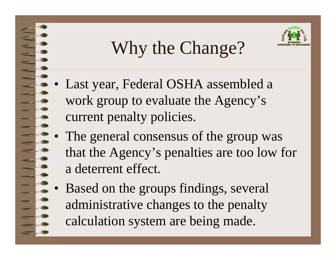# Why the Change?



- • Last year, Federal OSHA assembled a work group to evaluate the Agency's current penalty policies.
- • The general consensus of the group was that the Agency's penalties are too low for a deterrent effect.
- • Based on the groups findings, several administrative changes to the penalty calculation system are being made.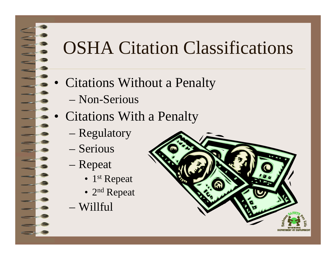## OSHA Citation Classifications

- Citations Without a Penalty
	- Non-Serious
- • Citations With a Penalty
	- Regulatory
	- Serious
	- Repeat
		- 1<sup>st</sup> Repeat
		- 2<sup>nd</sup> Repeat
	- Willful

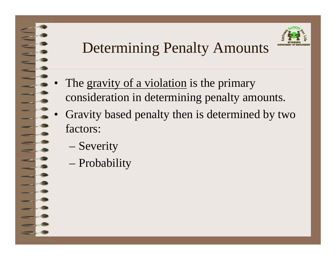### Determining Penalty Amounts



- •The gravity of a violation is the primary consideration in determining penalty amounts.
- • Gravity based penalty then is determined by two factors:
	- Severity
	- Probability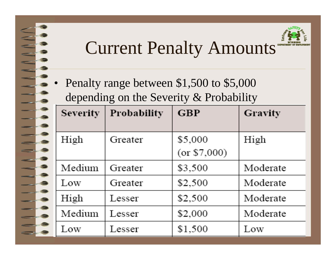### Current Penalty Amounts

• Penalty range between \$1,500 to \$5,000 depending on the Severity & Probability

| <b>Severity</b> | <b>Probability</b> | <b>GBP</b>              | Gravity  |
|-----------------|--------------------|-------------------------|----------|
| High            | Greater            | \$5,000<br>(or \$7,000) | High     |
| Medium          | Greater            | \$3,500                 | Moderate |
| Low             | Greater            | \$2,500                 | Moderate |
| High            | Lesser             | \$2,500                 | Moderate |
| Medium          | Lesser             | \$2,000                 | Moderate |
| Low             | Lesser             | \$1,500                 | Low      |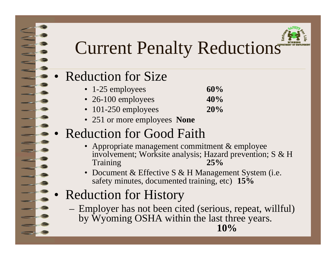

### Current Penalty Reductions

#### •Reduction for Size

- 1-25 employees **60%**
- 26-100 employees **40%**
- 101-250 employees **20%**
- 251 or more employees **None**

#### •Reduction for Good Faith

- Appropriate management commitment & employee involvement; Worksite analysis; Hazard prevention; S & H Training **25%**
- Document & Effective S & H Management System (i.e. safety minutes, documented training, etc) **15%**
- • Reduction for History
	- Employer has not been cited (serious, repeat, willful) by Wyoming OSHA within the last three years. **10%**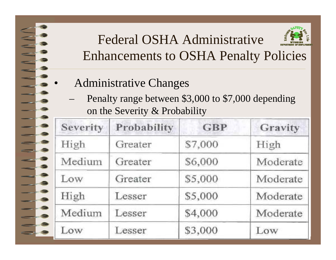Administrative Changes

•

 Penalty range between \$3,000 to \$7,000 depending on the Severity & Probability

| Severity | Probability | <b>GBP</b> | Gravity  |
|----------|-------------|------------|----------|
| High     | Greater     | \$7,000    | High     |
| Medium   | Greater     | \$6,000    | Moderate |
| Low      | Greater     | \$5,000    | Moderate |
| High     | Lesser      | \$5,000    | Moderate |
| Medium   | Lesser      | \$4,000    | Moderate |
| Low      | Lesser      | \$3,000    | Low      |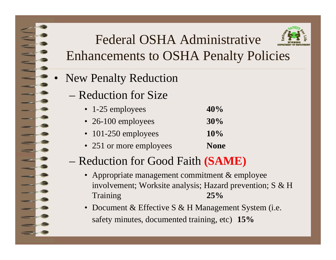- • New Penalty Reduction
	- Reduction for Size
		- 1-25 employees **40%**
		- 26-100 employees **30%**
		- 101-250 employees **10%**
		- 251 or more employees **None**
	- Reduction for Good Faith **(SAME)**
		- Appropriate management commitment & employee involvement; Worksite analysis; Hazard prevention; S & H Training **25%**
		- Document & Effective S & H Management System (i.e. safety minutes, documented training, etc) **15%**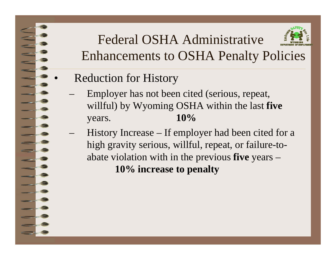Reduction for History

- Employer has not been cited (serious, repeat, willful) by Wyoming OSHA within the last **five** years. **10%**
- History Increase If employer had been cited for a high gravity serious, willful, repeat, or failure-toabate violation with in the previous **five** years – **10% increase to penalty**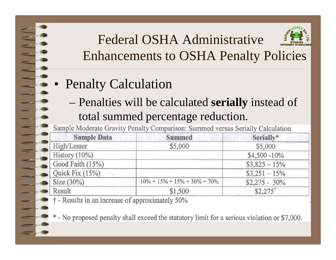- • Penalty Calculation
	- Penalties will be calculated **serially** instead of total summed percentage reduction.

Sample Moderate Gravity Penalty Comparison: Summed versus Serially Calculation

| <b>Sample Data</b> | Summed                             | Serially*             |  |
|--------------------|------------------------------------|-----------------------|--|
| High/Lesser        | \$5,000                            | \$5,000               |  |
| History $(10\%)$   |                                    | $$4,500 - 10\%$       |  |
| Good Faith (15%)   |                                    | $$3,825 - 15\%$       |  |
| Quick Fix $(15%)$  |                                    | $$3,251 - 15\%$       |  |
| Size $(30\%)$      | $10\% + 15\% + 15\% + 30\% = 70\%$ | $$2,275 - 30\%$       |  |
| Result             | \$1,500                            | $$2.275$ <sup>T</sup> |  |
| $1 - T$            |                                    |                       |  |

 $\uparrow$  - Results in an increase of approximately 50%

\* - No proposed penalty shall exceed the statutory limit for a serious violation or \$7,000.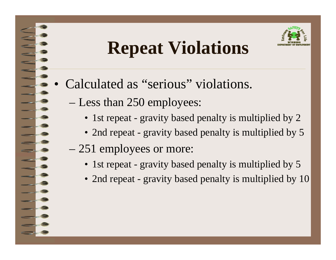## **Repeat Violations**

- • Calculated as "serious" violations.
	- Less than 250 employees:
		- 1st repeat gravity based penalty is multiplied by 2
		- 2nd repeat gravity based penalty is multiplied by 5
	- 251 employees or more:
		- 1st repeat gravity based penalty is multiplied by 5
		- 2nd repeat gravity based penalty is multiplied by 10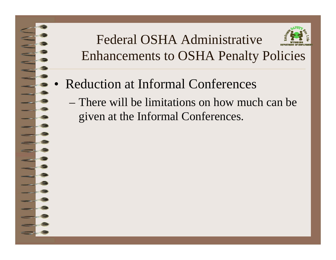- • Reduction at Informal Conferences
	- There will be limitations on how much can be given at the Informal Conferences.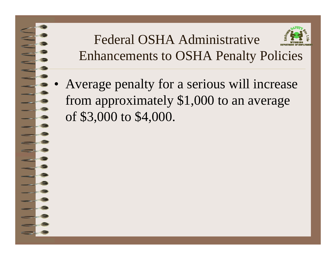Average penalty for a serious will increase from approximately \$1,000 to an average of \$3,000 to \$4,000.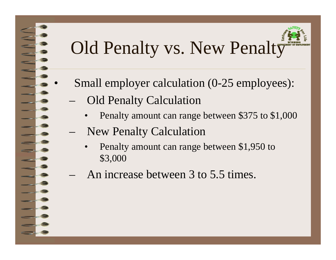

- Small employer calculation (0-25 employees):
	- Old Penalty Calculation

- •Penalty amount can range between \$375 to \$1,000
- New Penalty Calculation
	- • Penalty amount can range between \$1,950 to \$3,000
- An increase between 3 to 5.5 times.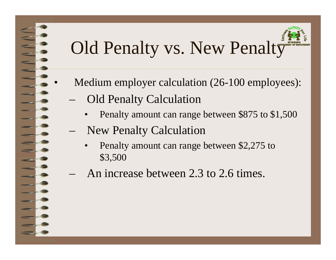- Medium employer calculation (26-100 employees):
- Old Penalty Calculation

- •Penalty amount can range between \$875 to \$1,500
- New Penalty Calculation
	- • Penalty amount can range between \$2,275 to \$3,500
- An increase between 2.3 to 2.6 times.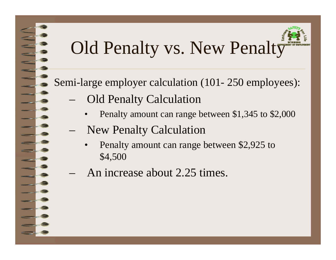Semi-large employer calculation (101- 250 employees):

- Old Penalty Calculation
	- •Penalty amount can range between \$1,345 to \$2,000
	- New Penalty Calculation
		- • Penalty amount can range between \$2,925 to \$4,500
- An increase about 2.25 times.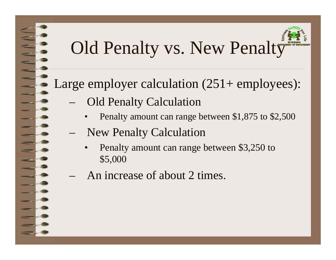#### Large employer calculation  $(251+$  employees):

- Old Penalty Calculation
	- •Penalty amount can range between \$1,875 to \$2,500
- New Penalty Calculation
	- • Penalty amount can range between \$3,250 to \$5,000
- An increase of about 2 times.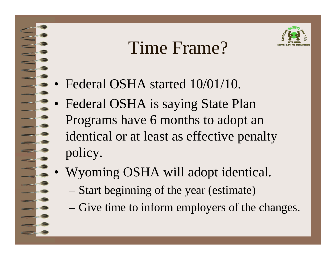### Time Frame?



- •Federal OSHA started 10/01/10.
- • Federal OSHA is saying State Plan Programs have 6 months to adopt an identical or at least as effective penalty policy.
- • Wyoming OSHA will adopt identical.
	- Start beginning of the year (estimate)
	- Give time to inform employers of the changes.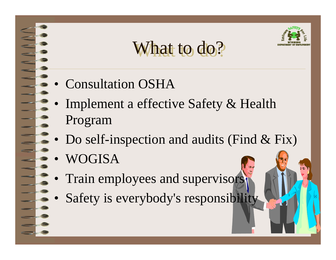

What to do?

- Consultation OSHA
- • Implement a effective Safety & Health Program
- Do self-inspection and audits (Find & Fix)
- •WOGISA
- •Train employees and supervisors
- •Safety is everybody's responsibility